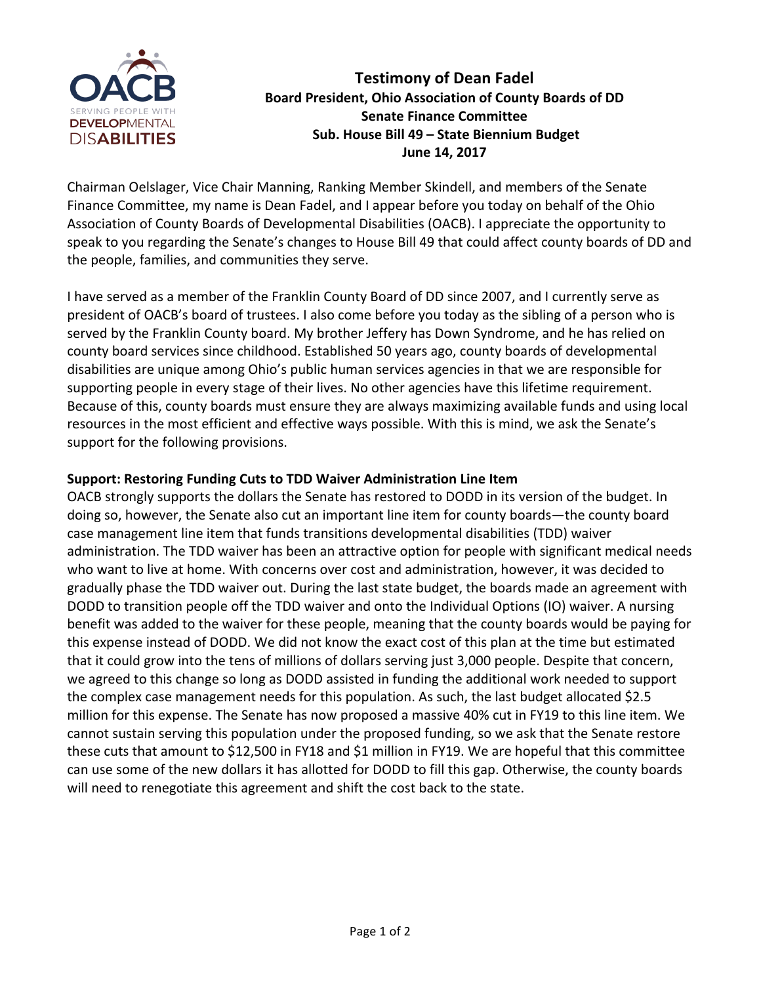

**Testimony of Dean Fadel** Board President, Ohio Association of County Boards of DD **Senate Finance Committee** Sub. House Bill 49 - State Biennium Budget **June 14, 2017**

Chairman Oelslager, Vice Chair Manning, Ranking Member Skindell, and members of the Senate Finance Committee, my name is Dean Fadel, and I appear before you today on behalf of the Ohio Association of County Boards of Developmental Disabilities (OACB). I appreciate the opportunity to speak to you regarding the Senate's changes to House Bill 49 that could affect county boards of DD and the people, families, and communities they serve.

I have served as a member of the Franklin County Board of DD since 2007, and I currently serve as president of OACB's board of trustees. I also come before you today as the sibling of a person who is served by the Franklin County board. My brother Jeffery has Down Syndrome, and he has relied on county board services since childhood. Established 50 years ago, county boards of developmental disabilities are unique among Ohio's public human services agencies in that we are responsible for supporting people in every stage of their lives. No other agencies have this lifetime requirement. Because of this, county boards must ensure they are always maximizing available funds and using local resources in the most efficient and effective ways possible. With this is mind, we ask the Senate's support for the following provisions.

## **Support: Restoring Funding Cuts to TDD Waiver Administration Line Item**

OACB strongly supports the dollars the Senate has restored to DODD in its version of the budget. In doing so, however, the Senate also cut an important line item for county boards—the county board case management line item that funds transitions developmental disabilities (TDD) waiver administration. The TDD waiver has been an attractive option for people with significant medical needs who want to live at home. With concerns over cost and administration, however, it was decided to gradually phase the TDD waiver out. During the last state budget, the boards made an agreement with DODD to transition people off the TDD waiver and onto the Individual Options (IO) waiver. A nursing benefit was added to the waiver for these people, meaning that the county boards would be paying for this expense instead of DODD. We did not know the exact cost of this plan at the time but estimated that it could grow into the tens of millions of dollars serving just 3,000 people. Despite that concern, we agreed to this change so long as DODD assisted in funding the additional work needed to support the complex case management needs for this population. As such, the last budget allocated \$2.5 million for this expense. The Senate has now proposed a massive 40% cut in FY19 to this line item. We cannot sustain serving this population under the proposed funding, so we ask that the Senate restore these cuts that amount to \$12,500 in FY18 and \$1 million in FY19. We are hopeful that this committee can use some of the new dollars it has allotted for DODD to fill this gap. Otherwise, the county boards will need to renegotiate this agreement and shift the cost back to the state.